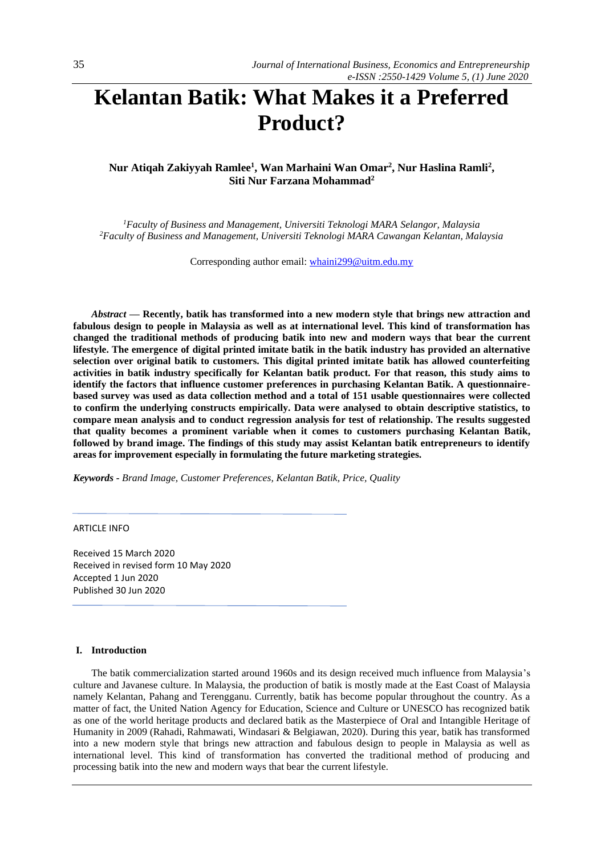# **Kelantan Batik: What Makes it a Preferred Product?**

# **Nur Atiqah Zakiyyah Ramlee<sup>1</sup> , Wan Marhaini Wan Omar<sup>2</sup> , Nur Haslina Ramli<sup>2</sup> , Siti Nur Farzana Mohammad<sup>2</sup>**

*<sup>1</sup>Faculty of Business and Management, Universiti Teknologi MARA Selangor, Malaysia <sup>2</sup>Faculty of Business and Management, Universiti Teknologi MARA Cawangan Kelantan, Malaysia*

Corresponding author email[: whaini299@uitm.edu.my](mailto:whaini299@uitm.edu.my)

*Abstract —* **Recently, batik has transformed into a new modern style that brings new attraction and fabulous design to people in Malaysia as well as at international level. This kind of transformation has changed the traditional methods of producing batik into new and modern ways that bear the current lifestyle. The emergence of digital printed imitate batik in the batik industry has provided an alternative selection over original batik to customers. This digital printed imitate batik has allowed counterfeiting activities in batik industry specifically for Kelantan batik product. For that reason, this study aims to identify the factors that influence customer preferences in purchasing Kelantan Batik. A questionnairebased survey was used as data collection method and a total of 151 usable questionnaires were collected to confirm the underlying constructs empirically. Data were analysed to obtain descriptive statistics, to compare mean analysis and to conduct regression analysis for test of relationship. The results suggested that quality becomes a prominent variable when it comes to customers purchasing Kelantan Batik, followed by brand image. The findings of this study may assist Kelantan batik entrepreneurs to identify areas for improvement especially in formulating the future marketing strategies.**

*Keywords - Brand Image, Customer Preferences, Kelantan Batik, Price, Quality*

ARTICLE INFO

Received 15 March 2020 Received in revised form 10 May 2020 Accepted 1 Jun 2020 Published 30 Jun 2020

# **I. Introduction**

The batik commercialization started around 1960s and its design received much influence from Malaysia's culture and Javanese culture. In Malaysia, the production of batik is mostly made at the East Coast of Malaysia namely Kelantan, Pahang and Terengganu. Currently, batik has become popular throughout the country. As a matter of fact, the United Nation Agency for Education, Science and Culture or UNESCO has recognized batik as one of the world heritage products and declared batik as the Masterpiece of Oral and Intangible Heritage of Humanity in 2009 (Rahadi, Rahmawati, Windasari & Belgiawan, 2020). During this year, batik has transformed into a new modern style that brings new attraction and fabulous design to people in Malaysia as well as international level. This kind of transformation has converted the traditional method of producing and processing batik into the new and modern ways that bear the current lifestyle.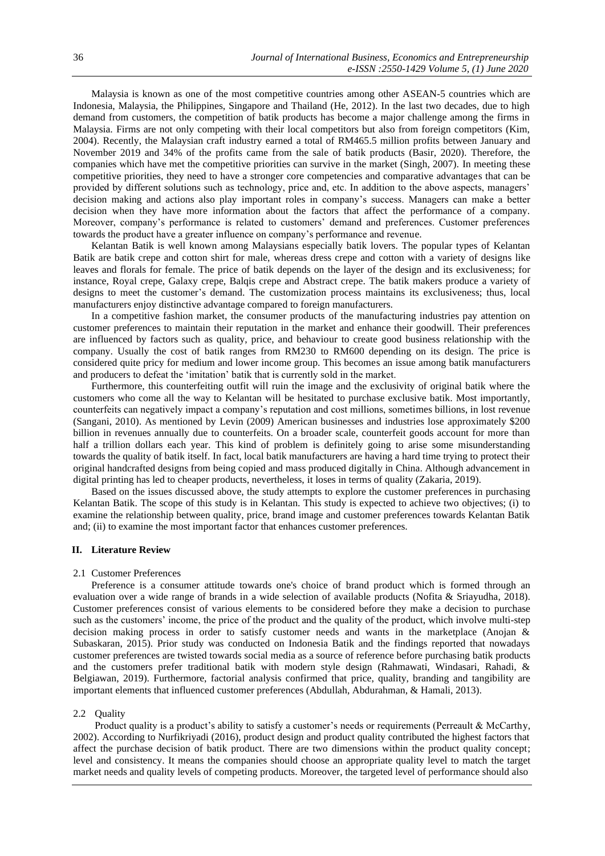Malaysia is known as one of the most competitive countries among other ASEAN-5 countries which are Indonesia, Malaysia, the Philippines, Singapore and Thailand (He, 2012). In the last two decades, due to high demand from customers, the competition of batik products has become a major challenge among the firms in Malaysia. Firms are not only competing with their local competitors but also from foreign competitors (Kim, 2004). Recently, the Malaysian craft industry earned a total of RM465.5 million profits between January and November 2019 and 34% of the profits came from the sale of batik products (Basir, 2020). Therefore, the companies which have met the competitive priorities can survive in the market (Singh, 2007). In meeting these competitive priorities, they need to have a stronger core competencies and comparative advantages that can be provided by different solutions such as technology, price and, etc. In addition to the above aspects, managers' decision making and actions also play important roles in company's success. Managers can make a better decision when they have more information about the factors that affect the performance of a company. Moreover, company's performance is related to customers' demand and preferences. Customer preferences towards the product have a greater influence on company's performance and revenue.

Kelantan Batik is well known among Malaysians especially batik lovers. The popular types of Kelantan Batik are batik crepe and cotton shirt for male, whereas dress crepe and cotton with a variety of designs like leaves and florals for female. The price of batik depends on the layer of the design and its exclusiveness; for instance, Royal crepe, Galaxy crepe, Balqis crepe and Abstract crepe. The batik makers produce a variety of designs to meet the customer's demand. The customization process maintains its exclusiveness; thus, local manufacturers enjoy distinctive advantage compared to foreign manufacturers.

In a competitive fashion market, the consumer products of the manufacturing industries pay attention on customer preferences to maintain their reputation in the market and enhance their goodwill. Their preferences are influenced by factors such as quality, price, and behaviour to create good business relationship with the company. Usually the cost of batik ranges from RM230 to RM600 depending on its design. The price is considered quite pricy for medium and lower income group. This becomes an issue among batik manufacturers and producers to defeat the 'imitation' batik that is currently sold in the market.

Furthermore, this counterfeiting outfit will ruin the image and the exclusivity of original batik where the customers who come all the way to Kelantan will be hesitated to purchase exclusive batik. Most importantly, counterfeits can negatively impact a company's reputation and cost millions, sometimes billions, in lost revenue (Sangani, 2010). As mentioned by Levin (2009) American businesses and industries lose approximately \$200 billion in revenues annually due to counterfeits. On a broader scale, counterfeit goods account for more than half a trillion dollars each year. This kind of problem is definitely going to arise some misunderstanding towards the quality of batik itself. In fact, local batik manufacturers are having a hard time trying to protect their original handcrafted designs from being copied and mass produced digitally in China. Although advancement in digital printing has led to cheaper products, nevertheless, it loses in terms of quality (Zakaria, 2019).

Based on the issues discussed above, the study attempts to explore the customer preferences in purchasing Kelantan Batik. The scope of this study is in Kelantan. This study is expected to achieve two objectives; (i) to examine the relationship between quality, price, brand image and customer preferences towards Kelantan Batik and; (ii) to examine the most important factor that enhances customer preferences.

# **II. Literature Review**

#### 2.1 Customer Preferences

Preference is a consumer attitude towards one's choice of brand product which is formed through an evaluation over a wide range of brands in a wide selection of available products (Nofita & Sriayudha, 2018). Customer preferences consist of various elements to be considered before they make a decision to purchase such as the customers' income, the price of the product and the quality of the product, which involve multi-step decision making process in order to satisfy customer needs and wants in the marketplace (Anojan & Subaskaran, 2015). Prior study was conducted on Indonesia Batik and the findings reported that nowadays customer preferences are twisted towards social media as a source of reference before purchasing batik products and the customers prefer traditional batik with modern style design (Rahmawati, Windasari, Rahadi, & Belgiawan, 2019). Furthermore, factorial analysis confirmed that price, quality, branding and tangibility are important elements that influenced customer preferences (Abdullah, Abdurahman, & Hamali, 2013).

# 2.2 Quality

Product quality is a product's ability to satisfy a customer's needs or requirements (Perreault & McCarthy, 2002). According to Nurfikriyadi (2016), product design and product quality contributed the highest factors that affect the purchase decision of batik product. There are two dimensions within the product quality concept; level and consistency. It means the companies should choose an appropriate quality level to match the target market needs and quality levels of competing products. Moreover, the targeted level of performance should also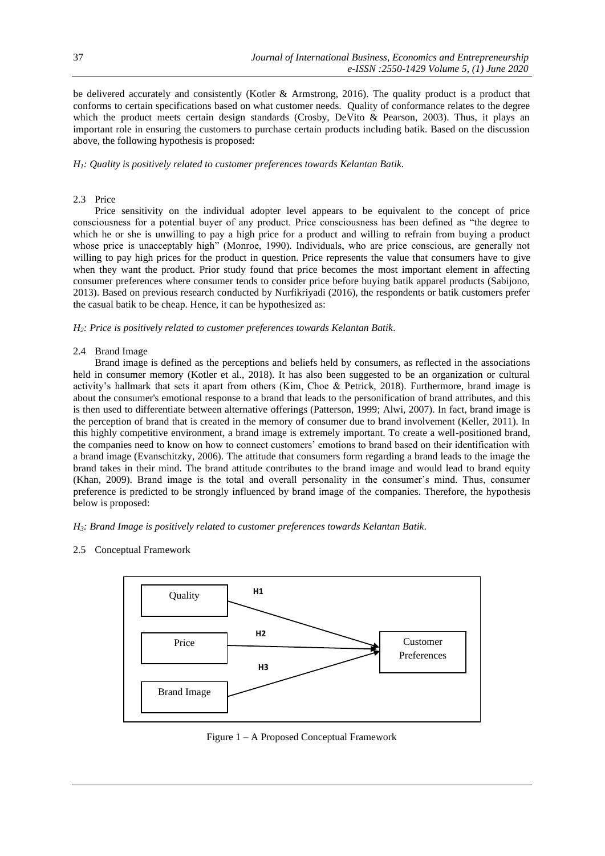be delivered accurately and consistently (Kotler & Armstrong, 2016). The quality product is a product that conforms to certain specifications based on what customer needs. Quality of conformance relates to the degree which the product meets certain design standards (Crosby, DeVito & Pearson, 2003). Thus, it plays an important role in ensuring the customers to purchase certain products including batik. Based on the discussion above, the following hypothesis is proposed:

*H1: Quality is positively related to customer preferences towards Kelantan Batik.*

# 2.3 Price

Price sensitivity on the individual adopter level appears to be equivalent to the concept of price consciousness for a potential buyer of any product. Price consciousness has been defined as "the degree to which he or she is unwilling to pay a high price for a product and willing to refrain from buying a product whose price is unacceptably high" (Monroe, 1990). Individuals, who are price conscious, are generally not willing to pay high prices for the product in question. Price represents the value that consumers have to give when they want the product. Prior study found that price becomes the most important element in affecting consumer preferences where consumer tends to consider price before buying batik apparel products (Sabijono, 2013). Based on previous research conducted by Nurfikriyadi (2016), the respondents or batik customers prefer the casual batik to be cheap. Hence, it can be hypothesized as:

*H2: Price is positively related to customer preferences towards Kelantan Batik.*

# 2.4 Brand Image

Brand image is defined as the perceptions and beliefs held by consumers, as reflected in the associations held in consumer memory (Kotler et al., 2018). It has also been suggested to be an organization or cultural activity's hallmark that sets it apart from others (Kim, Choe & Petrick, 2018). Furthermore, brand image is about the consumer's emotional response to a brand that leads to the personification of brand attributes, and this is then used to differentiate between alternative offerings (Patterson, 1999; Alwi, 2007). In fact, brand image is the perception of brand that is created in the memory of consumer due to brand involvement (Keller, 2011). In this highly competitive environment, a brand image is extremely important. To create a well-positioned brand, the companies need to know on how to connect customers' emotions to brand based on their identification with a brand image (Evanschitzky, 2006). The attitude that consumers form regarding a brand leads to the image the brand takes in their mind. The brand attitude contributes to the brand image and would lead to brand equity (Khan, 2009). Brand image is the total and overall personality in the consumer's mind. Thus, consumer preference is predicted to be strongly influenced by brand image of the companies. Therefore, the hypothesis below is proposed:

*H3: Brand Image is positively related to customer preferences towards Kelantan Batik.*

# 2.5 Conceptual Framework



Figure 1 – A Proposed Conceptual Framework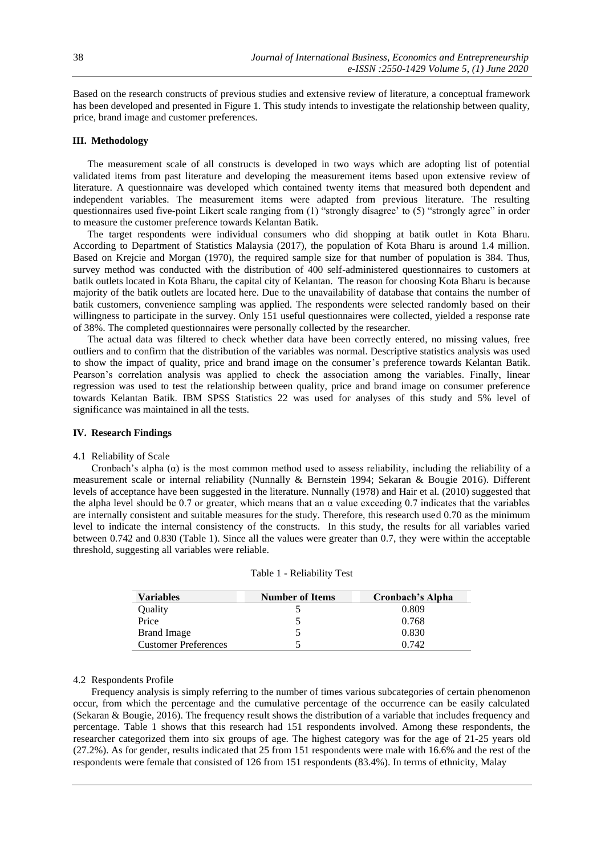Based on the research constructs of previous studies and extensive review of literature, a conceptual framework has been developed and presented in Figure 1. This study intends to investigate the relationship between quality, price, brand image and customer preferences.

# **III. Methodology**

The measurement scale of all constructs is developed in two ways which are adopting list of potential validated items from past literature and developing the measurement items based upon extensive review of literature. A questionnaire was developed which contained twenty items that measured both dependent and independent variables. The measurement items were adapted from previous literature. The resulting questionnaires used five-point Likert scale ranging from (1) "strongly disagree' to (5) "strongly agree" in order to measure the customer preference towards Kelantan Batik.

The target respondents were individual consumers who did shopping at batik outlet in Kota Bharu. According to Department of Statistics Malaysia (2017), the population of Kota Bharu is around 1.4 million. Based on Krejcie and Morgan (1970), the required sample size for that number of population is 384. Thus, survey method was conducted with the distribution of 400 self-administered questionnaires to customers at batik outlets located in Kota Bharu, the capital city of Kelantan. The reason for choosing Kota Bharu is because majority of the batik outlets are located here. Due to the unavailability of database that contains the number of batik customers, convenience sampling was applied. The respondents were selected randomly based on their willingness to participate in the survey. Only 151 useful questionnaires were collected, yielded a response rate of 38%. The completed questionnaires were personally collected by the researcher.

The actual data was filtered to check whether data have been correctly entered, no missing values, free outliers and to confirm that the distribution of the variables was normal. Descriptive statistics analysis was used to show the impact of quality, price and brand image on the consumer's preference towards Kelantan Batik. Pearson's correlation analysis was applied to check the association among the variables. Finally, linear regression was used to test the relationship between quality, price and brand image on consumer preference towards Kelantan Batik. IBM SPSS Statistics 22 was used for analyses of this study and 5% level of significance was maintained in all the tests.

# **IV. Research Findings**

#### 4.1 Reliability of Scale

Cronbach's alpha  $(\alpha)$  is the most common method used to assess reliability, including the reliability of a measurement scale or internal reliability (Nunnally & Bernstein 1994; Sekaran & Bougie 2016). Different levels of acceptance have been suggested in the literature. Nunnally (1978) and Hair et al. (2010) suggested that the alpha level should be 0.7 or greater, which means that an  $\alpha$  value exceeding 0.7 indicates that the variables are internally consistent and suitable measures for the study. Therefore, this research used 0.70 as the minimum level to indicate the internal consistency of the constructs. In this study, the results for all variables varied between 0.742 and 0.830 (Table 1). Since all the values were greater than 0.7, they were within the acceptable threshold, suggesting all variables were reliable.

| <b>Variables</b>            | <b>Number of Items</b> | Cronbach's Alpha |  |
|-----------------------------|------------------------|------------------|--|
| Quality                     |                        | 0.809            |  |
| Price                       |                        | 0.768            |  |
| <b>Brand Image</b>          |                        | 0.830            |  |
| <b>Customer Preferences</b> |                        | 0.742            |  |

| Table 1 - Reliability Test |  |  |  |  |  |
|----------------------------|--|--|--|--|--|
|----------------------------|--|--|--|--|--|

# 4.2 Respondents Profile

Frequency analysis is simply referring to the number of times various subcategories of certain phenomenon occur, from which the percentage and the cumulative percentage of the occurrence can be easily calculated (Sekaran & Bougie, 2016). The frequency result shows the distribution of a variable that includes frequency and percentage. Table 1 shows that this research had 151 respondents involved. Among these respondents, the researcher categorized them into six groups of age. The highest category was for the age of 21-25 years old (27.2%). As for gender, results indicated that 25 from 151 respondents were male with 16.6% and the rest of the respondents were female that consisted of 126 from 151 respondents (83.4%). In terms of ethnicity, Malay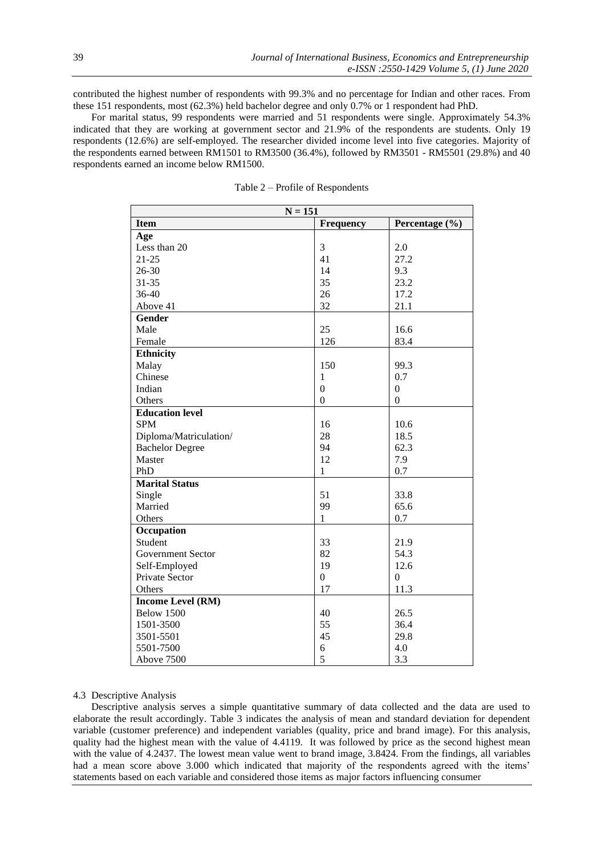contributed the highest number of respondents with 99.3% and no percentage for Indian and other races. From these 151 respondents, most (62.3%) held bachelor degree and only 0.7% or 1 respondent had PhD.

For marital status, 99 respondents were married and 51 respondents were single. Approximately 54.3% indicated that they are working at government sector and 21.9% of the respondents are students. Only 19 respondents (12.6%) are self-employed. The researcher divided income level into five categories. Majority of the respondents earned between RM1501 to RM3500 (36.4%), followed by RM3501 - RM5501 (29.8%) and 40 respondents earned an income below RM1500.

| $N = 151$                |                  |                  |  |  |  |
|--------------------------|------------------|------------------|--|--|--|
| <b>Item</b>              | <b>Frequency</b> | Percentage (%)   |  |  |  |
| Age                      |                  |                  |  |  |  |
| Less than 20             | 3                | 2.0              |  |  |  |
| $21 - 25$                | 41               | 27.2             |  |  |  |
| $26 - 30$                | 14               | 9.3              |  |  |  |
| $31 - 35$                | 35               | 23.2             |  |  |  |
| 36-40                    | 26               | 17.2             |  |  |  |
| Above 41                 | 32               | 21.1             |  |  |  |
| Gender                   |                  |                  |  |  |  |
| Male                     | 25               | 16.6             |  |  |  |
| Female                   | 126              | 83.4             |  |  |  |
| <b>Ethnicity</b>         |                  |                  |  |  |  |
| Malay                    | 150              | 99.3             |  |  |  |
| Chinese                  | 1                | 0.7              |  |  |  |
| Indian                   | $\mathbf{0}$     | $\boldsymbol{0}$ |  |  |  |
| Others                   | $\boldsymbol{0}$ | $\mathbf{0}$     |  |  |  |
| <b>Education level</b>   |                  |                  |  |  |  |
| <b>SPM</b>               | 16               | 10.6             |  |  |  |
| Diploma/Matriculation/   | 28               | 18.5             |  |  |  |
| <b>Bachelor Degree</b>   | 94               | 62.3             |  |  |  |
| Master                   | 12               | 7.9              |  |  |  |
| PhD                      | 1                | 0.7              |  |  |  |
| <b>Marital Status</b>    |                  |                  |  |  |  |
| Single                   | 51               | 33.8             |  |  |  |
| Married                  | 99               | 65.6             |  |  |  |
| Others                   | $\mathbf{1}$     | 0.7              |  |  |  |
| Occupation               |                  |                  |  |  |  |
| Student                  | 33               | 21.9             |  |  |  |
| <b>Government Sector</b> | 82               | 54.3             |  |  |  |
| Self-Employed            | 19               | 12.6             |  |  |  |
| Private Sector           | $\boldsymbol{0}$ | $\theta$         |  |  |  |
| Others                   | 17               | 11.3             |  |  |  |
| <b>Income Level (RM)</b> |                  |                  |  |  |  |
| Below 1500               | 40               | 26.5             |  |  |  |
| 1501-3500                | 55               | 36.4             |  |  |  |
| 3501-5501                | 45               | 29.8             |  |  |  |
| 5501-7500                | 6                | 4.0              |  |  |  |
| Above 7500               | 5                | 3.3              |  |  |  |

Table 2 – Profile of Respondents

# 4.3 Descriptive Analysis

Descriptive analysis serves a simple quantitative summary of data collected and the data are used to elaborate the result accordingly. Table 3 indicates the analysis of mean and standard deviation for dependent variable (customer preference) and independent variables (quality, price and brand image). For this analysis, quality had the highest mean with the value of 4.4119. It was followed by price as the second highest mean with the value of 4.2437. The lowest mean value went to brand image, 3.8424. From the findings, all variables had a mean score above 3.000 which indicated that majority of the respondents agreed with the items' statements based on each variable and considered those items as major factors influencing consumer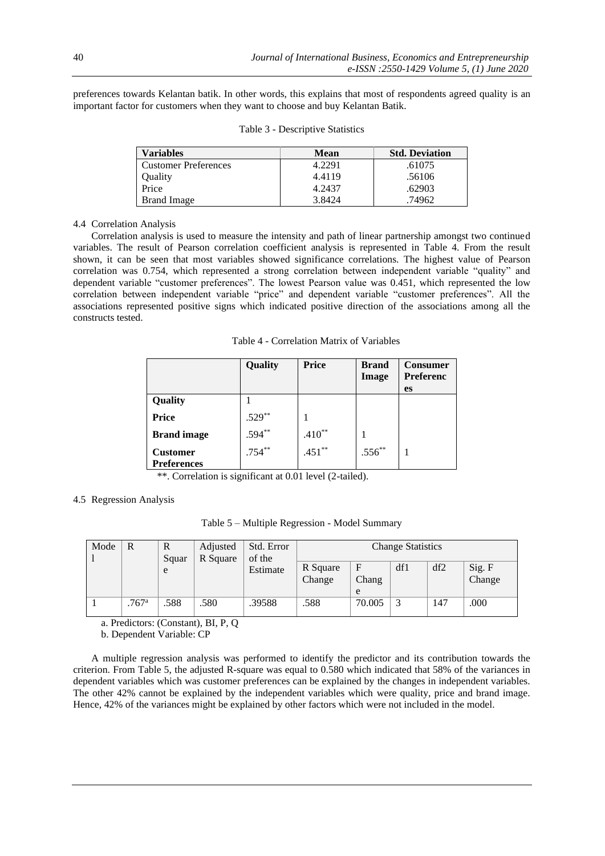preferences towards Kelantan batik. In other words, this explains that most of respondents agreed quality is an important factor for customers when they want to choose and buy Kelantan Batik.

| Variables                   | Mean   | <b>Std. Deviation</b> |
|-----------------------------|--------|-----------------------|
| <b>Customer Preferences</b> | 4.2291 | .61075                |
| Quality                     | 4.4119 | .56106                |
| Price                       | 4.2437 | .62903                |
| <b>Brand Image</b>          | 3.8424 | 74962                 |

Table 3 - Descriptive Statistics

#### 4.4 Correlation Analysis

Correlation analysis is used to measure the intensity and path of linear partnership amongst two continued variables. The result of Pearson correlation coefficient analysis is represented in Table 4. From the result shown, it can be seen that most variables showed significance correlations. The highest value of Pearson correlation was 0.754, which represented a strong correlation between independent variable "quality" and dependent variable "customer preferences". The lowest Pearson value was 0.451, which represented the low correlation between independent variable "price" and dependent variable "customer preferences". All the associations represented positive signs which indicated positive direction of the associations among all the constructs tested.

Table 4 - Correlation Matrix of Variables

|                    | Quality   | <b>Price</b> | <b>Brand</b><br>Image | <b>Consumer</b><br><b>Preferenc</b> |
|--------------------|-----------|--------------|-----------------------|-------------------------------------|
|                    |           |              |                       | <b>es</b>                           |
| Quality            |           |              |                       |                                     |
| <b>Price</b>       | $.529**$  |              |                       |                                     |
| <b>Brand</b> image | $.594***$ | $.410**$     |                       |                                     |
| <b>Customer</b>    | $.754***$ | $.451**$     | $.556***$             |                                     |
| <b>Preferences</b> |           |              |                       |                                     |

\*\*. Correlation is significant at 0.01 level (2-tailed).

#### 4.5 Regression Analysis

Table 5 – Multiple Regression - Model Summary

| Mode | R                   | R<br>Squar | Adjusted<br>R Square | Std. Error<br><b>Change Statistics</b><br>of the<br>df2<br>df1<br>F<br>R Square<br>Estimate<br>Chang<br>Change |      |        |  |     |                  |
|------|---------------------|------------|----------------------|----------------------------------------------------------------------------------------------------------------|------|--------|--|-----|------------------|
|      |                     | e          |                      |                                                                                                                |      | e      |  |     | Sig. F<br>Change |
|      | $.767$ <sup>a</sup> | .588       | .580                 | .39588                                                                                                         | .588 | 70.005 |  | 147 | .000             |

a. Predictors: (Constant), BI, P, Q

b. Dependent Variable: CP

A multiple regression analysis was performed to identify the predictor and its contribution towards the criterion. From Table 5, the adjusted R-square was equal to 0.580 which indicated that 58% of the variances in dependent variables which was customer preferences can be explained by the changes in independent variables. The other 42% cannot be explained by the independent variables which were quality, price and brand image. Hence, 42% of the variances might be explained by other factors which were not included in the model.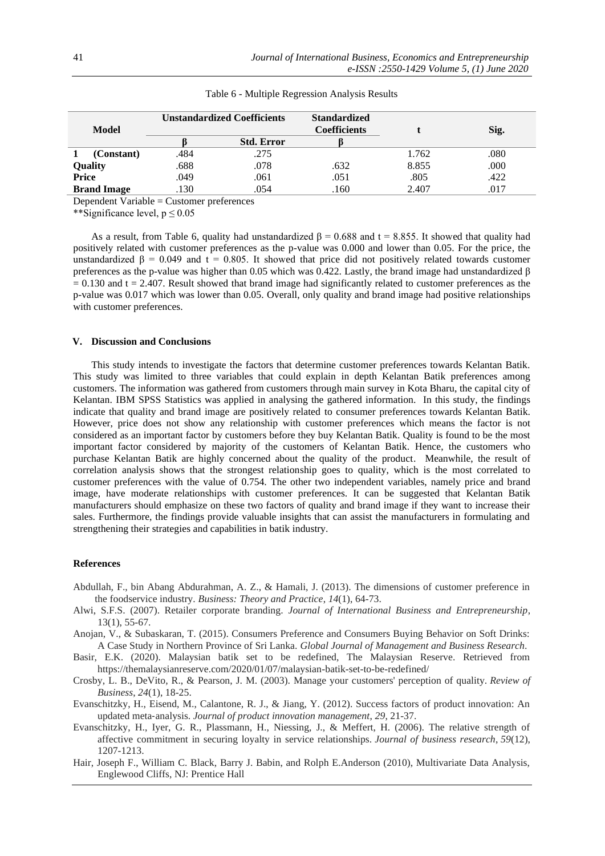|              |                    |      | Unstandardized Coefficients | <b>Standardized</b> |       |      |
|--------------|--------------------|------|-----------------------------|---------------------|-------|------|
| Model        |                    |      |                             | Coefficients        |       | Sig. |
|              |                    |      | <b>Std. Error</b>           |                     |       |      |
|              | (Constant)         | .484 | .275                        |                     | 1.762 | .080 |
|              | Quality            | .688 | .078                        | .632                | 8.855 | .000 |
| <b>Price</b> |                    | .049 | .061                        | .051                | .805  | .422 |
|              | <b>Brand Image</b> | .130 | .054                        | .160                | 2.407 | .017 |

Table 6 - Multiple Regression Analysis Results

Dependent Variable = Customer preferences

\*\*Significance level,  $p \le 0.05$ 

As a result, from Table 6, quality had unstandardized  $\beta = 0.688$  and t = 8.855. It showed that quality had positively related with customer preferences as the p-value was 0.000 and lower than 0.05. For the price, the unstandardized  $\beta$  = 0.049 and t = 0.805. It showed that price did not positively related towards customer preferences as the p-value was higher than 0.05 which was 0.422. Lastly, the brand image had unstandardized β  $= 0.130$  and t = 2.407. Result showed that brand image had significantly related to customer preferences as the p-value was 0.017 which was lower than 0.05. Overall, only quality and brand image had positive relationships with customer preferences.

# **V. Discussion and Conclusions**

This study intends to investigate the factors that determine customer preferences towards Kelantan Batik. This study was limited to three variables that could explain in depth Kelantan Batik preferences among customers. The information was gathered from customers through main survey in Kota Bharu, the capital city of Kelantan. IBM SPSS Statistics was applied in analysing the gathered information. In this study, the findings indicate that quality and brand image are positively related to consumer preferences towards Kelantan Batik. However, price does not show any relationship with customer preferences which means the factor is not considered as an important factor by customers before they buy Kelantan Batik. Quality is found to be the most important factor considered by majority of the customers of Kelantan Batik. Hence, the customers who purchase Kelantan Batik are highly concerned about the quality of the product. Meanwhile, the result of correlation analysis shows that the strongest relationship goes to quality, which is the most correlated to customer preferences with the value of 0.754. The other two independent variables, namely price and brand image, have moderate relationships with customer preferences. It can be suggested that Kelantan Batik manufacturers should emphasize on these two factors of quality and brand image if they want to increase their sales. Furthermore, the findings provide valuable insights that can assist the manufacturers in formulating and strengthening their strategies and capabilities in batik industry.

# **References**

- Abdullah, F., bin Abang Abdurahman, A. Z., & Hamali, J. (2013). The dimensions of customer preference in the foodservice industry. *Business: Theory and Practice*, *14*(1), 64-73.
- Alwi, S.F.S. (2007). Retailer corporate branding. *Journal of International Business and Entrepreneurship*, 13(1), 55-67.
- Anojan, V., & Subaskaran, T. (2015). Consumers Preference and Consumers Buying Behavior on Soft Drinks: A Case Study in Northern Province of Sri Lanka. *Global Journal of Management and Business Research*.
- Basir, E.K. (2020). Malaysian batik set to be redefined, The Malaysian Reserve. Retrieved from https://themalaysianreserve.com/2020/01/07/malaysian-batik-set-to-be-redefined/
- Crosby, L. B., DeVito, R., & Pearson, J. M. (2003). Manage your customers' perception of quality. *Review of Business*, *24*(1), 18-25.
- Evanschitzky, H., Eisend, M., Calantone, R. J., & Jiang, Y. (2012). Success factors of product innovation: An updated meta‐analysis. *Journal of product innovation management*, *29*, 21-37.
- Evanschitzky, H., Iyer, G. R., Plassmann, H., Niessing, J., & Meffert, H. (2006). The relative strength of affective commitment in securing loyalty in service relationships. *Journal of business research*, *59*(12), 1207-1213.
- Hair, Joseph F., William C. Black, Barry J. Babin, and Rolph E.Anderson (2010), Multivariate Data Analysis, Englewood Cliffs, NJ: Prentice Hall